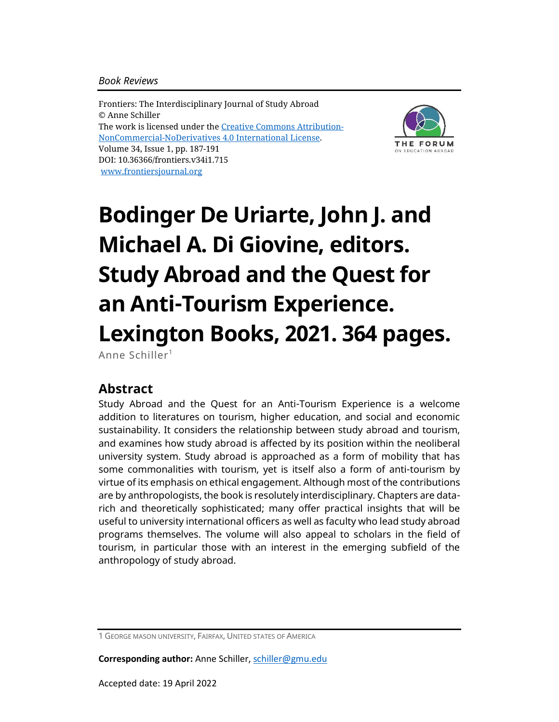#### *Book Reviews*

Frontiers: The Interdisciplinary Journal of Study Abroad © Anne Schiller The work is licensed under the [Creative Commons Attribution-](https://creativecommons.org/licenses/by-nc-nd/4.0/)[NonCommercial-NoDerivatives](https://creativecommons.org/licenses/by-nc-nd/4.0/) 4.0 International License. Volume 34, Issue 1, pp. 187-191 DOI: 10.36366/frontiers.v34i1.715 [www.frontiersjournal.org](http://www.frontiersjournal.org/)



# **Bodinger De Uriarte, John J. and Michael A. Di Giovine, editors. Study Abroad and the Quest for an Anti-Tourism Experience. Lexington Books, 2021. 364 pages.**

Anne Schiller<sup>1</sup>

### **Abstract**

Study Abroad and the Quest for an Anti-Tourism Experience is a welcome addition to literatures on tourism, higher education, and social and economic sustainability. It considers the relationship between study abroad and tourism, and examines how study abroad is affected by its position within the neoliberal university system. Study abroad is approached as a form of mobility that has some commonalities with tourism, yet is itself also a form of anti-tourism by virtue of its emphasis on ethical engagement. Although most of the contributions are by anthropologists, the book is resolutely interdisciplinary. Chapters are datarich and theoretically sophisticated; many offer practical insights that will be useful to university international officers as well as faculty who lead study abroad programs themselves. The volume will also appeal to scholars in the field of tourism, in particular those with an interest in the emerging subfield of the anthropology of study abroad.

**Corresponding author:** Anne Schiller, [schiller@gmu.edu](mailto:schiller@gmu.edu)

<sup>1</sup> GEORGE MASON UNIVERSITY, FAIRFAX, UNITED STATES OF AMERICA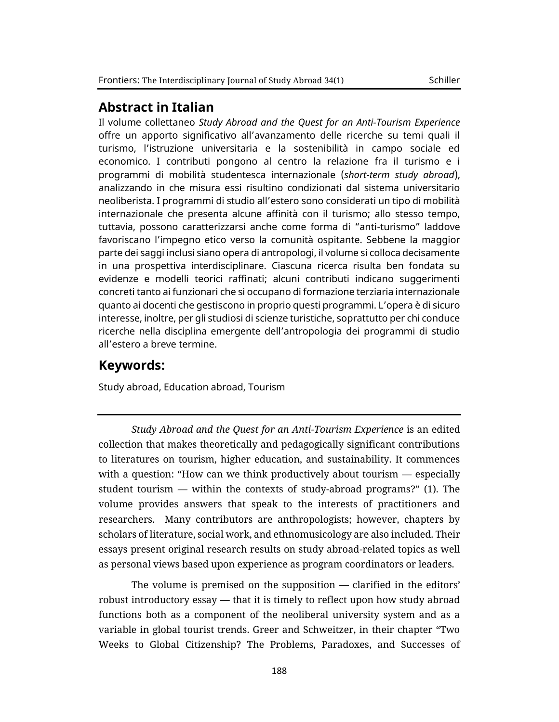#### **Abstract in Italian**

Il volume collettaneo *Study Abroad and the Quest for an Anti-Tourism Experience* offre un apporto significativo all'avanzamento delle ricerche su temi quali il turismo, l'istruzione universitaria e la sostenibilità in campo sociale ed economico. I contributi pongono al centro la relazione fra il turismo e i programmi di mobilità studentesca internazionale (*short-term study abroad*), analizzando in che misura essi risultino condizionati dal sistema universitario neoliberista. I programmi di studio all'estero sono considerati un tipo di mobilità internazionale che presenta alcune affinità con il turismo; allo stesso tempo, tuttavia, possono caratterizzarsi anche come forma di "anti-turismo" laddove favoriscano l'impegno etico verso la comunità ospitante. Sebbene la maggior parte dei saggi inclusi siano opera di antropologi, il volume si colloca decisamente in una prospettiva interdisciplinare. Ciascuna ricerca risulta ben fondata su evidenze e modelli teorici raffinati; alcuni contributi indicano suggerimenti concreti tanto ai funzionari che si occupano di formazione terziaria internazionale quanto ai docenti che gestiscono in proprio questi programmi. L'opera è di sicuro interesse, inoltre, per gli studiosi di scienze turistiche, soprattutto per chi conduce ricerche nella disciplina emergente dell'antropologia dei programmi di studio all'estero a breve termine.

#### **Keywords:**

Study abroad, Education abroad, Tourism

*Study Abroad and the Quest for an Anti-Tourism Experience* is an edited collection that makes theoretically and pedagogically significant contributions to literatures on tourism, higher education, and sustainability. It commences with a question: "How can we think productively about tourism *—* especially student tourism *—* within the contexts of study-abroad programs?" (1). The volume provides answers that speak to the interests of practitioners and researchers. Many contributors are anthropologists; however, chapters by scholars of literature, social work, and ethnomusicology are also included. Their essays present original research results on study abroad-related topics as well as personal views based upon experience as program coordinators or leaders.

The volume is premised on the supposition *—* clarified in the editors' robust introductory essay *—* that it is timely to reflect upon how study abroad functions both as a component of the neoliberal university system and as a variable in global tourist trends. Greer and Schweitzer, in their chapter "Two Weeks to Global Citizenship? The Problems, Paradoxes, and Successes of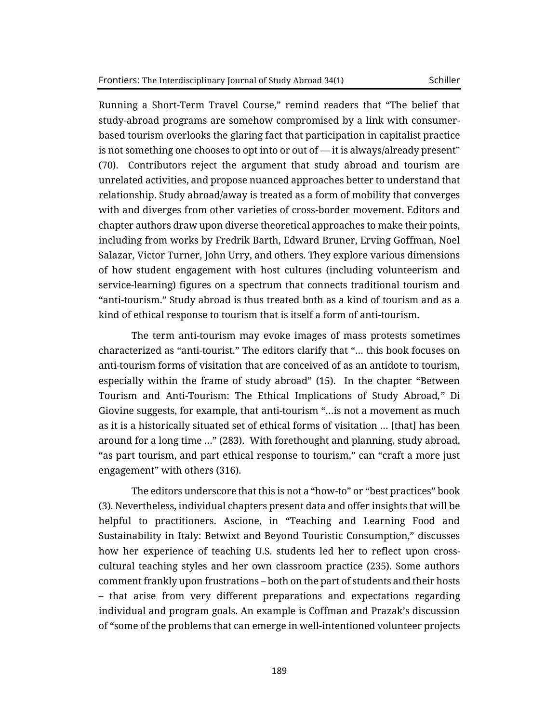Running a Short-Term Travel Course," remind readers that "The belief that study-abroad programs are somehow compromised by a link with consumerbased tourism overlooks the glaring fact that participation in capitalist practice is not something one chooses to opt into or out of *—* it is always/already present" (70). Contributors reject the argument that study abroad and tourism are unrelated activities, and propose nuanced approaches better to understand that relationship. Study abroad/away is treated as a form of mobility that converges with and diverges from other varieties of cross-border movement. Editors and chapter authors draw upon diverse theoretical approaches to make their points, including from works by Fredrik Barth, Edward Bruner, Erving Goffman, Noel Salazar, Victor Turner, John Urry, and others. They explore various dimensions of how student engagement with host cultures (including volunteerism and service-learning) figures on a spectrum that connects traditional tourism and "anti-tourism." Study abroad is thus treated both as a kind of tourism and as a kind of ethical response to tourism that is itself a form of anti-tourism.

The term anti-tourism may evoke images of mass protests sometimes characterized as "anti-tourist." The editors clarify that "… this book focuses on anti-tourism forms of visitation that are conceived of as an antidote to tourism, especially within the frame of study abroad" (15). In the chapter "Between Tourism and Anti-Tourism: The Ethical Implications of Study Abroad*,"* Di Giovine suggests, for example, that anti-tourism "…is not a movement as much as it is a historically situated set of ethical forms of visitation … [that] has been around for a long time …" (283). With forethought and planning, study abroad, "as part tourism, and part ethical response to tourism," can "craft a more just engagement" with others (316).

The editors underscore that this is not a "how-to" or "best practices" book (3). Nevertheless, individual chapters present data and offer insights that will be helpful to practitioners. Ascione, in "Teaching and Learning Food and Sustainability in Italy: Betwixt and Beyond Touristic Consumption," discusses how her experience of teaching U.S. students led her to reflect upon crosscultural teaching styles and her own classroom practice (235). Some authors comment frankly upon frustrations – both on the part of students and their hosts – that arise from very different preparations and expectations regarding individual and program goals. An example is Coffman and Prazak's discussion of "some of the problems that can emerge in well-intentioned volunteer projects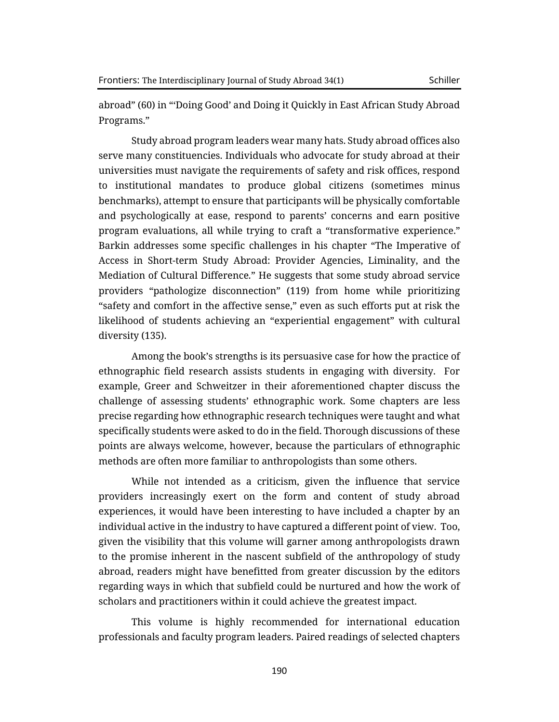abroad" (60) in "'Doing Good' and Doing it Quickly in East African Study Abroad Programs."

Study abroad program leaders wear many hats. Study abroad offices also serve many constituencies. Individuals who advocate for study abroad at their universities must navigate the requirements of safety and risk offices, respond to institutional mandates to produce global citizens (sometimes minus benchmarks), attempt to ensure that participants will be physically comfortable and psychologically at ease, respond to parents' concerns and earn positive program evaluations, all while trying to craft a "transformative experience." Barkin addresses some specific challenges in his chapter "The Imperative of Access in Short-term Study Abroad: Provider Agencies, Liminality, and the Mediation of Cultural Difference*.*" He suggests that some study abroad service providers "pathologize disconnection" (119) from home while prioritizing "safety and comfort in the affective sense," even as such efforts put at risk the likelihood of students achieving an "experiential engagement" with cultural diversity (135).

Among the book's strengths is its persuasive case for how the practice of ethnographic field research assists students in engaging with diversity. For example, Greer and Schweitzer in their aforementioned chapter discuss the challenge of assessing students' ethnographic work. Some chapters are less precise regarding how ethnographic research techniques were taught and what specifically students were asked to do in the field. Thorough discussions of these points are always welcome, however, because the particulars of ethnographic methods are often more familiar to anthropologists than some others.

While not intended as a criticism, given the influence that service providers increasingly exert on the form and content of study abroad experiences, it would have been interesting to have included a chapter by an individual active in the industry to have captured a different point of view. Too, given the visibility that this volume will garner among anthropologists drawn to the promise inherent in the nascent subfield of the anthropology of study abroad, readers might have benefitted from greater discussion by the editors regarding ways in which that subfield could be nurtured and how the work of scholars and practitioners within it could achieve the greatest impact.

This volume is highly recommended for international education professionals and faculty program leaders. Paired readings of selected chapters